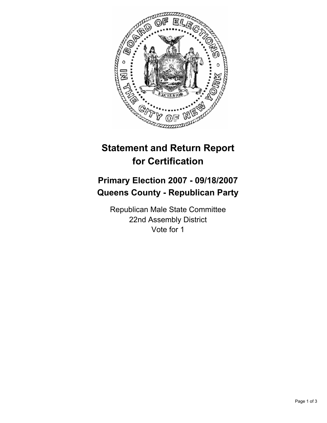

## **Statement and Return Report for Certification**

## **Primary Election 2007 - 09/18/2007 Queens County - Republican Party**

Republican Male State Committee 22nd Assembly District Vote for 1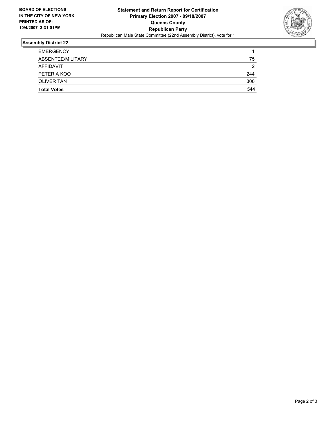

## **Assembly District 22**

| <b>Total Votes</b> | 544 |
|--------------------|-----|
| <b>OLIVER TAN</b>  | 300 |
| PETER A KOO        | 244 |
| AFFIDAVIT          | ◠   |
| ABSENTEE/MILITARY  | 75  |
| <b>EMERGENCY</b>   |     |